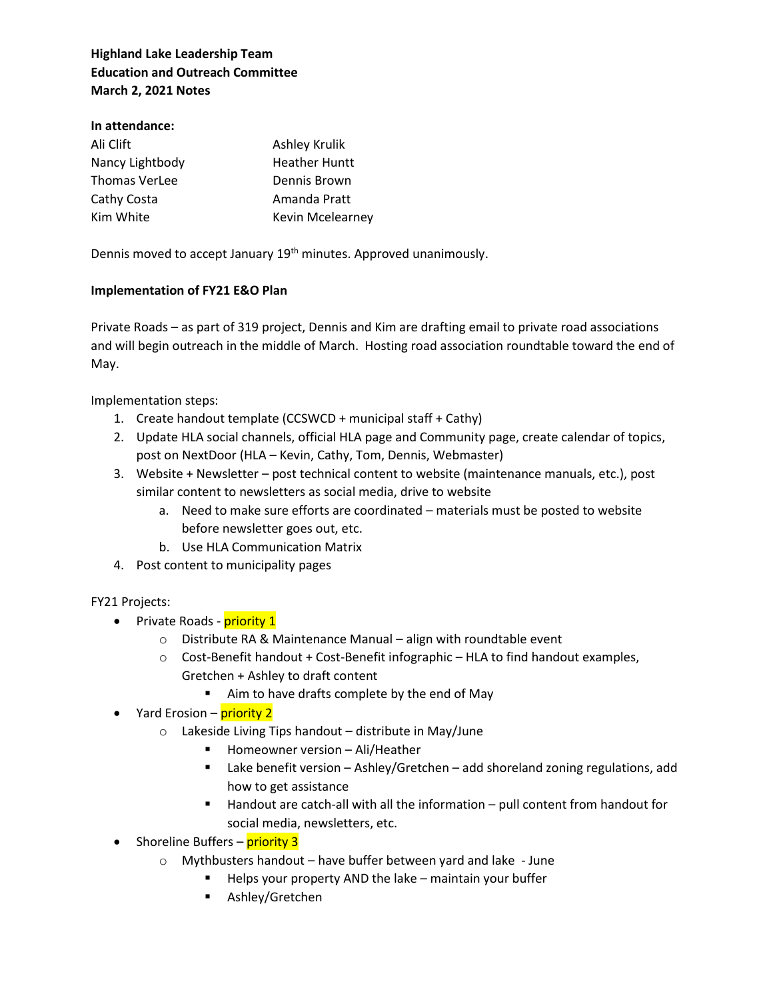## **Highland Lake Leadership Team Education and Outreach Committee March 2, 2021 Notes**

## **In attendance:**

| Ali Clift            | Ashley Krulik           |
|----------------------|-------------------------|
| Nancy Lightbody      | <b>Heather Huntt</b>    |
| <b>Thomas VerLee</b> | Dennis Brown            |
| Cathy Costa          | Amanda Pratt            |
| Kim White            | <b>Kevin Mcelearney</b> |

Dennis moved to accept January 19<sup>th</sup> minutes. Approved unanimously.

## **Implementation of FY21 E&O Plan**

Private Roads – as part of 319 project, Dennis and Kim are drafting email to private road associations and will begin outreach in the middle of March. Hosting road association roundtable toward the end of May.

Implementation steps:

- 1. Create handout template (CCSWCD + municipal staff + Cathy)
- 2. Update HLA social channels, official HLA page and Community page, create calendar of topics, post on NextDoor (HLA – Kevin, Cathy, Tom, Dennis, Webmaster)
- 3. Website + Newsletter post technical content to website (maintenance manuals, etc.), post similar content to newsletters as social media, drive to website
	- a. Need to make sure efforts are coordinated materials must be posted to website before newsletter goes out, etc.
	- b. Use HLA Communication Matrix
- 4. Post content to municipality pages

## FY21 Projects:

- Private Roads **priority 1** 
	- o Distribute RA & Maintenance Manual align with roundtable event
	- $\circ$  Cost-Benefit handout + Cost-Benefit infographic HLA to find handout examples, Gretchen + Ashley to draft content
		- Aim to have drafts complete by the end of May
- Yard Erosion **priority 2** 
	- $\circ$  Lakeside Living Tips handout distribute in May/June
		- Homeowner version Ali/Heather
		- Lake benefit version Ashley/Gretchen add shoreland zoning regulations, add how to get assistance
		- Handout are catch-all with all the information pull content from handout for social media, newsletters, etc.

• Shoreline Buffers – **priority 3** 

- o Mythbusters handout have buffer between yard and lake June
	- Helps your property AND the lake maintain your buffer
	- Ashley/Gretchen